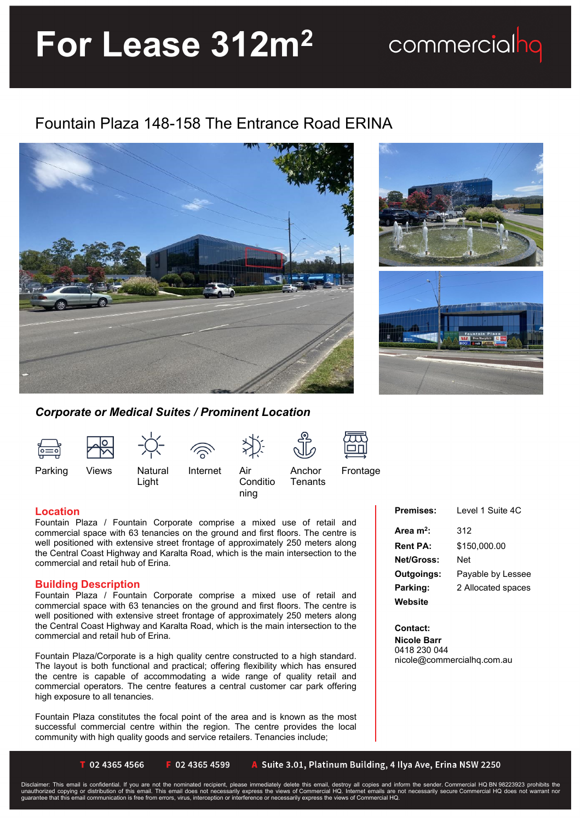# **For Lease 312m<sup>2</sup>**

## Fountain Plaza 148-158 The Entrance Road ERINA





commercialhq

### *Corporate or Medical Suites / Prominent Location*



Light



Internet Air

**Conditio** ning

Anchor **Tenants**  Frontage

## **Location**

Fountain Plaza / Fountain Corporate comprise a mixed use of retail and commercial space with 63 tenancies on the ground and first floors. The centre is well positioned with extensive street frontage of approximately 250 meters along the Central Coast Highway and Karalta Road, which is the main intersection to the commercial and retail hub of Erina.

### **Building Description**

Fountain Plaza / Fountain Corporate comprise a mixed use of retail and commercial space with 63 tenancies on the ground and first floors. The centre is well positioned with extensive street frontage of approximately 250 meters along the Central Coast Highway and Karalta Road, which is the main intersection to the commercial and retail hub of Erina.

Fountain Plaza/Corporate is a high quality centre constructed to a high standard. The layout is both functional and practical; offering flexibility which has ensured the centre is capable of accommodating a wide range of quality retail and commercial operators. The centre features a central customer car park offering high exposure to all tenancies.

Fountain Plaza constitutes the focal point of the area and is known as the most successful commercial centre within the region. The centre provides the local community with high quality goods and service retailers. Tenancies include;

| <b>Premises:</b>      | Level 1 Suite 4C   |
|-----------------------|--------------------|
| Area m <sup>2</sup> : | 312                |
| <b>Rent PA:</b>       | \$150.000.00       |
| <b>Net/Gross:</b>     | Net                |
| Outgoings:            | Payable by Lessee  |
| Parking:              | 2 Allocated spaces |
| Website               |                    |

**Contact:** 

**Nicole Barr** 0418 230 044 nicole@commercialhq.com.au

T 02 4365 4566

F 02 4365 4599

A Suite 3.01, Platinum Building, 4 Ilya Ave, Erina NSW 2250

Disclaimer: This email is confidential. If you are not the nominated recipient, please immediately delete this email, destroy all copies and inform the sender. Commercial HQ BN 98223923 prohibits the<br>unauthorized copying o